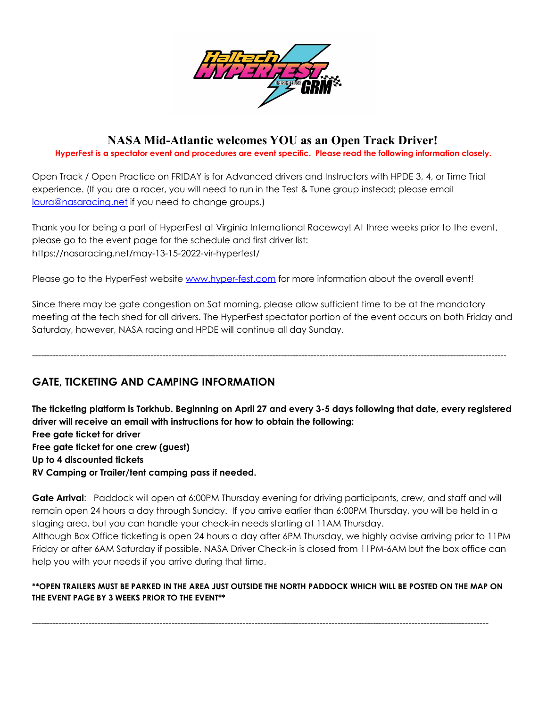

# **NASA Mid-Atlantic welcomes YOU as an Open Track Driver!**

**HyperFest is a spectator event and procedures are event specific. Please read the following information closely.**

Open Track / Open Practice on FRIDAY is for Advanced drivers and Instructors with HPDE 3, 4, or Time Trial experience. (If you are a racer, you will need to run in the Test & Tune group instead; please email [laura@nasaracing.net](mailto:laura@nasaracing.net) if you need to change groups.)

Thank you for being a part of HyperFest at Virginia International Raceway! At three weeks prior to the event, please go to the event page for the schedule and first driver list: https://nasaracing.net/may-13-15-2022-vir-hyperfest/

Please go to the HyperFest website [www.hyper-fest.com](http://www.hyper-fest.com) for more information about the overall event!

Since there may be gate congestion on Sat morning, please allow sufficient time to be at the mandatory meeting at the tech shed for all drivers. The HyperFest spectator portion of the event occurs on both Friday and Saturday, however, NASA racing and HPDE will continue all day Sunday.

----------------------------------------------------------------------------------------------------------------------------------------------------------------

**GATE, TICKETING AND CAMPING INFORMATION**

The ticketing platform is Torkhub. Beginning on April 27 and every 3-5 days following that date, every registered **driver will receive an email with instructions for how to obtain the following: Free gate ticket for driver Free gate ticket for one crew (guest) Up to 4 discounted tickets RV Camping or Trailer/tent camping pass if needed.**

**Gate Arrival**: Paddock will open at 6:00PM Thursday evening for driving participants, crew, and staff and will remain open 24 hours a day through Sunday. If you arrive earlier than 6:00PM Thursday, you will be held in a staging area, but you can handle your check-in needs starting at 11AM Thursday.

Although Box Office ticketing is open 24 hours a day after 6PM Thursday, we highly advise arriving prior to 11PM Friday or after 6AM Saturday if possible. NASA Driver Check-in is closed from 11PM-6AM but the box office can help you with your needs if you arrive during that time.

### **\*\*OPEN TRAILERS MUST BE PARKED IN THE AREA JUST OUTSIDE THE NORTH PADDOCK WHICH WILL BE POSTED ON THE MAP ON THE EVENT PAGE BY 3 WEEKS PRIOR TO THE EVENT\*\***

----------------------------------------------------------------------------------------------------------------------------------------------------------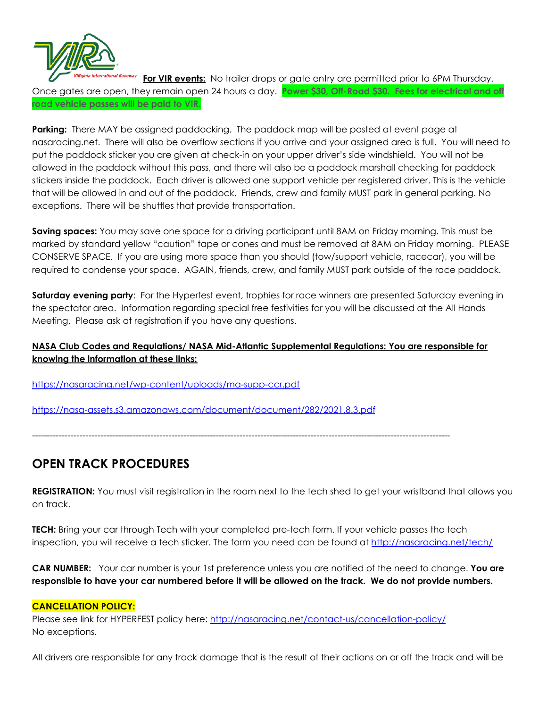

**For VIR events:** No trailer drops or gate entry are permitted prior to 6PM Thursday. Once gates are open, they remain open 24 hours a day. **Power \$30, Off-Road \$30. Fees for electrical and off road vehicle passes will be paid to VIR.**

**Parking:** There MAY be assigned paddocking. The paddock map will be posted at event page at nasaracing.net. There will also be overflow sections if you arrive and your assigned area is full. You will need to put the paddock sticker you are given at check-in on your upper driver's side windshield. You will not be allowed in the paddock without this pass, and there will also be a paddock marshall checking for paddock stickers inside the paddock. Each driver is allowed one support vehicle per registered driver. This is the vehicle that will be allowed in and out of the paddock. Friends, crew and family MUST park in general parking. No exceptions. There will be shuttles that provide transportation.

**Saving spaces:** You may save one space for a driving participant until 8AM on Friday morning. This must be marked by standard yellow "caution" tape or cones and must be removed at 8AM on Friday morning. PLEASE CONSERVE SPACE. If you are using more space than you should (tow/support vehicle, racecar), you will be required to condense your space. AGAIN, friends, crew, and family MUST park outside of the race paddock.

**Saturday evening party**: For the Hyperfest event, trophies for race winners are presented Saturday evening in the spectator area. Information regarding special free festivities for you will be discussed at the All Hands Meeting. Please ask at registration if you have any questions.

## **NASA Club Codes and Regulations/ NASA Mid-Atlantic Supplemental Regulations: You are responsible for knowing the information at these links:**

<https://nasaracing.net/wp-content/uploads/ma-supp-ccr.pdf>

<https://nasa-assets.s3.amazonaws.com/document/document/282/2021.8.3.pdf>

---------------------------------------------------------------------------------------------------------------------------------------------

# **OPEN TRACK PROCEDURES**

**REGISTRATION:** You must visit registration in the room next to the tech shed to get your wristband that allows you on track.

**TECH:** Bring your car through Tech with your completed pre-tech form. If your vehicle passes the tech inspection, you will receive a tech sticker. The form you need can be found at <http://nasaracing.net/tech/>

**CAR NUMBER:** Your car number is your 1st preference unless you are notified of the need to change. **You are** responsible to have your car numbered before it will be allowed on the track. We do not provide numbers.

#### **CANCELLATION POLICY:**

Please see link for HYPERFEST policy here: <http://nasaracing.net/contact-us/cancellation-policy/> No exceptions.

All drivers are responsible for any track damage that is the result of their actions on or off the track and will be